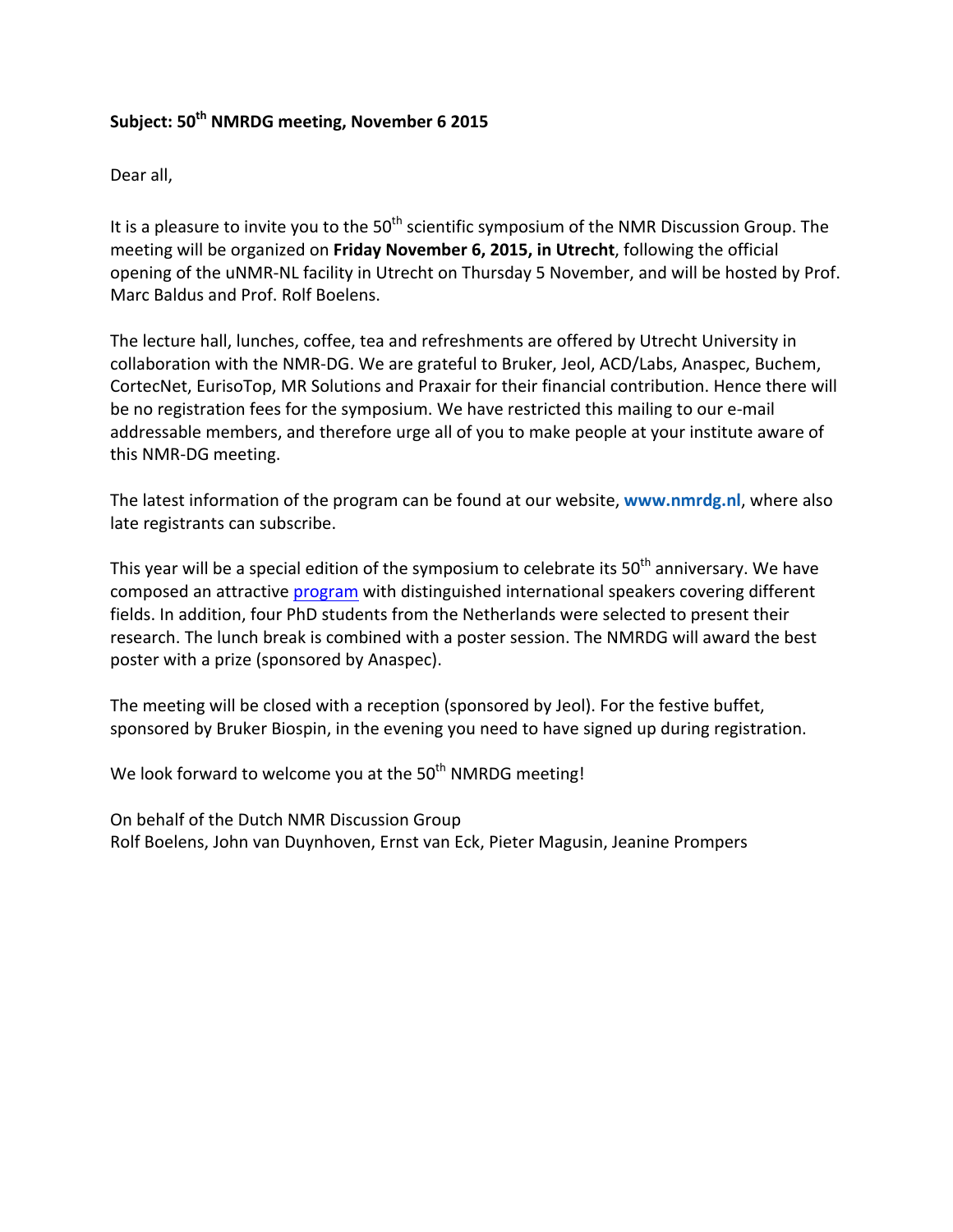# Subiect: 50<sup>th</sup> NMRDG meeting, November 6 2015

Dear all,

It is a pleasure to invite you to the  $50<sup>th</sup>$  scientific symposium of the NMR Discussion Group. The meeting will be organized on Friday November 6, 2015, in Utrecht, following the official opening of the uNMR-NL facility in Utrecht on Thursday 5 November, and will be hosted by Prof. Marc Baldus and Prof. Rolf Boelens.

The lecture hall, lunches, coffee, tea and refreshments are offered by Utrecht University in collaboration with the NMR-DG. We are grateful to Bruker, Jeol, ACD/Labs, Anaspec, Buchem, CortecNet, EurisoTop, MR Solutions and Praxair for their financial contribution. Hence there will be no registration fees for the symposium. We have restricted this mailing to our e-mail addressable members, and therefore urge all of you to make people at your institute aware of this NMR-DG meeting.

The latest information of the program can be found at our website, **www.nmrdg.nl**, where also late registrants can subscribe.

This year will be a special edition of the symposium to celebrate its  $50<sup>th</sup>$  anniversary. We have composed an attractive program with distinguished international speakers covering different fields. In addition, four PhD students from the Netherlands were selected to present their research. The lunch break is combined with a poster session. The NMRDG will award the best poster with a prize (sponsored by Anaspec).

The meeting will be closed with a reception (sponsored by Jeol). For the festive buffet, sponsored by Bruker Biospin, in the evening you need to have signed up during registration.

We look forward to welcome you at the  $50<sup>th</sup>$  NMRDG meeting!

On behalf of the Dutch NMR Discussion Group Rolf Boelens, John van Duynhoven, Ernst van Eck, Pieter Magusin, Jeanine Prompers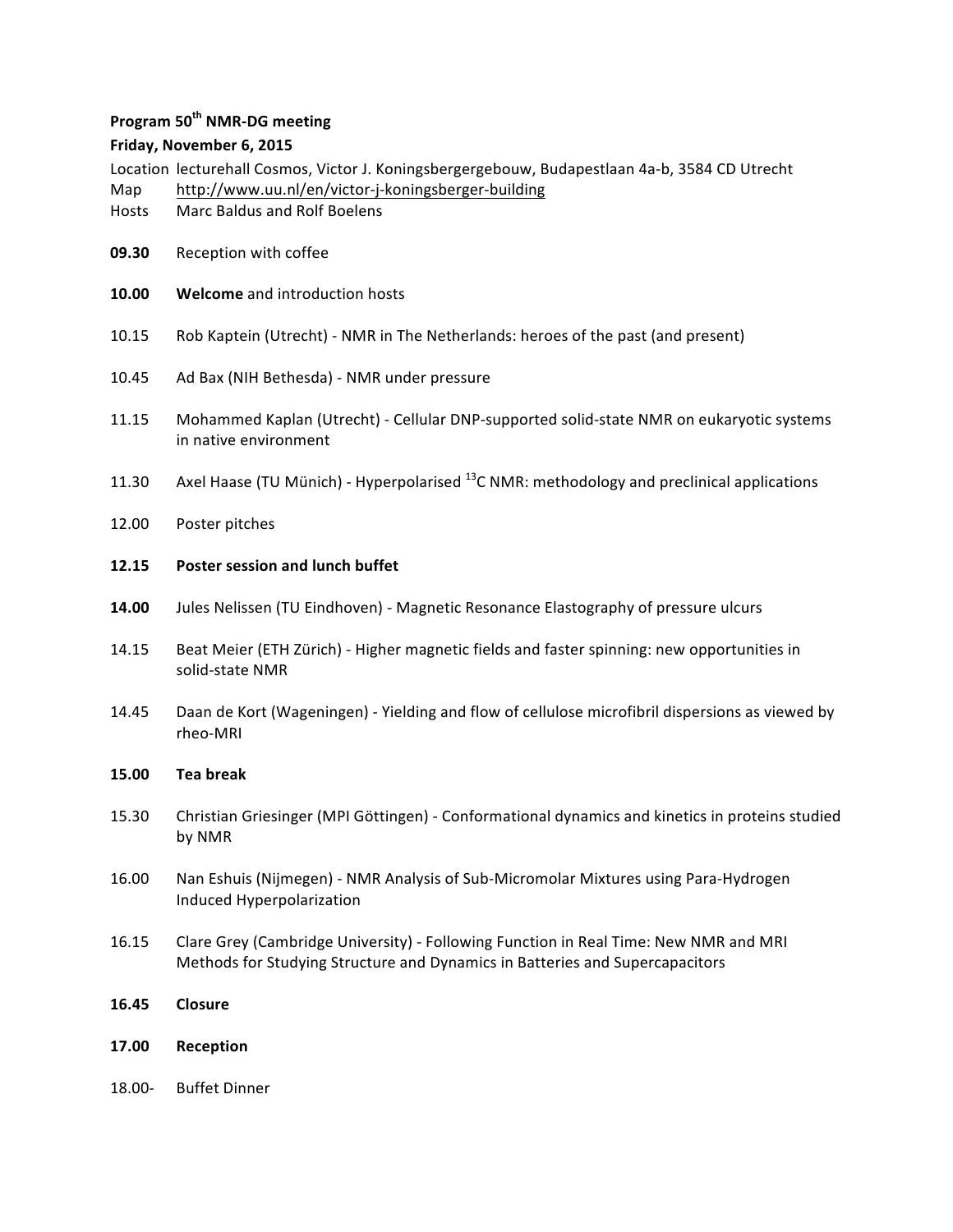## **Program 50th NMR-DG meeting**

## **Friday, November 6, 2015**

Location lecturehall Cosmos, Victor J. Koningsbergergebouw, Budapestlaan 4a-b, 3584 CD Utrecht

- Map http://www.uu.nl/en/victor-j-koningsberger-building
- Hosts Marc Baldus and Rolf Boelens
- **09.30** Reception with coffee
- **10.00 Welcome** and introduction hosts
- 10.15 Rob Kaptein (Utrecht) NMR in The Netherlands: heroes of the past (and present)
- 10.45 Ad Bax (NIH Bethesda) NMR under pressure
- 11.15 Mohammed Kaplan (Utrecht) Cellular DNP-supported solid-state NMR on eukaryotic systems in native environment
- 11.30 Axel Haase (TU Münich) Hyperpolarised  $^{13}$ C NMR: methodology and preclinical applications
- 12.00 Poster pitches

#### 12.15 Poster session and lunch buffet

- **14.00** Jules Nelissen (TU Eindhoven) Magnetic Resonance Elastography of pressure ulcurs
- 14.15 Beat Meier (ETH Zürich) Higher magnetic fields and faster spinning: new opportunities in solid-state NMR
- 14.45 Daan de Kort (Wageningen) Yielding and flow of cellulose microfibril dispersions as viewed by rheo-MRI

#### **15.00 Tea break**

- 15.30 Christian Griesinger (MPI Göttingen) Conformational dynamics and kinetics in proteins studied by NMR
- 16.00 Nan Eshuis (Nijmegen) NMR Analysis of Sub-Micromolar Mixtures using Para-Hydrogen Induced Hyperpolarization
- 16.15 Clare Grey (Cambridge University) Following Function in Real Time: New NMR and MRI Methods for Studying Structure and Dynamics in Batteries and Supercapacitors
- **16.45 Closure**
- **17.00 Reception**
- 18.00- Buffet Dinner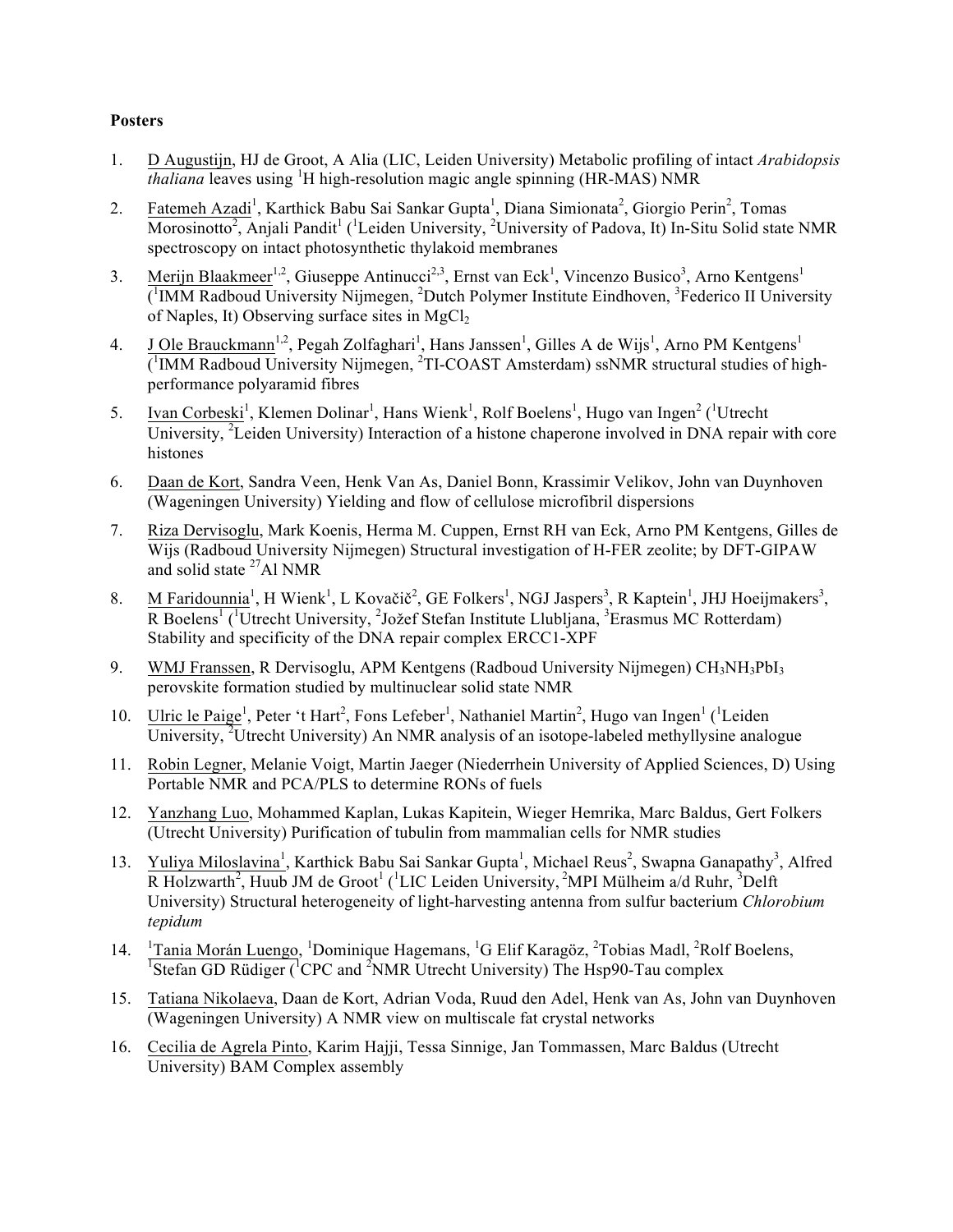# **Posters**

- 1. D Augustijn, HJ de Groot, A Alia (LIC, Leiden University) Metabolic profiling of intact *Arabidopsis thaliana* leaves using <sup>1</sup>H high-resolution magic angle spinning (HR-MAS) NMR
- 2. Fatemeh Azadi<sup>1</sup>, Karthick Babu Sai Sankar Gupta<sup>1</sup>, Diana Simionata<sup>2</sup>, Giorgio Perin<sup>2</sup>, Tomas Morosinotto<sup>2</sup>, Anjali Pandit<sup>1</sup> (<sup>1</sup>Leiden University, <sup>2</sup>University of Padova, It) In-Situ Solid state NMR spectroscopy on intact photosynthetic thylakoid membranes
- 3. Merijn Blaakmeer<sup>1,2</sup>, Giuseppe Antinucci<sup>2,3</sup>, Ernst van Eck<sup>1</sup>, Vincenzo Busico<sup>3</sup>, Arno Kentgens<sup>1</sup> (<sup>1</sup>IMM Radboud University Nijmegen, <sup>2</sup>Dutch Polymer Institute Eindhoven, <sup>3</sup>Federico II University of Naples, It) Observing surface sites in  $MgCl<sub>2</sub>$
- 4. J Ole Brauckmann<sup>1,2</sup>, Pegah Zolfaghari<sup>1</sup>, Hans Janssen<sup>1</sup>, Gilles A de Wijs<sup>1</sup>, Arno PM Kentgens<sup>1</sup> (<sup>1</sup>IMM Radboud University Nijmegen, <sup>2</sup>TI-COAST Amsterdam) ssNMR structural studies of highperformance polyaramid fibres
- 5. Ivan Corbeski<sup>1</sup>, Klemen Dolinar<sup>1</sup>, Hans Wienk<sup>1</sup>, Rolf Boelens<sup>1</sup>, Hugo van Ingen<sup>2</sup> (<sup>1</sup>Utrecht University, <sup>2</sup>Leiden University) Interaction of a histone chaperone involved in DNA repair with core histones
- 6. Daan de Kort, Sandra Veen, Henk Van As, Daniel Bonn, Krassimir Velikov, John van Duynhoven (Wageningen University) Yielding and flow of cellulose microfibril dispersions
- 7. Riza Dervisoglu, Mark Koenis, Herma M. Cuppen, Ernst RH van Eck, Arno PM Kentgens, Gilles de Wijs (Radboud University Nijmegen) Structural investigation of H-FER zeolite; by DFT-GIPAW and solid state  $^{27}$ Al NMR
- 8. M Faridounnia<sup>1</sup>, H Wienk<sup>1</sup>, L Kovačič<sup>2</sup>, GE Folkers<sup>1</sup>, NGJ Jaspers<sup>3</sup>, R Kaptein<sup>1</sup>, JHJ Hoeijmakers<sup>3</sup>, R Boelens<sup>1</sup> (<sup>1</sup>Utrecht University, <sup>2</sup>Jožef Stefan Institute Llubljana, <sup>3</sup>Erasmus MC Rotterdam) Stability and specificity of the DNA repair complex ERCC1-XPF
- 9. WMJ Franssen, R Dervisoglu, APM Kentgens (Radboud University Nijmegen) CH<sub>3</sub>NH<sub>3</sub>PbI<sub>3</sub> perovskite formation studied by multinuclear solid state NMR
- 10. Ulric le Paige<sup>1</sup>, Peter 't Hart<sup>2</sup>, Fons Lefeber<sup>1</sup>, Nathaniel Martin<sup>2</sup>, Hugo van Ingen<sup>1</sup> (<sup>1</sup>Leiden University, <sup>2</sup>Utrecht University) An NMR analysis of an isotope-labeled methyllysine analogue
- 11. Robin Legner, Melanie Voigt, Martin Jaeger (Niederrhein University of Applied Sciences, D) Using Portable NMR and PCA/PLS to determine RONs of fuels
- 12. Yanzhang Luo, Mohammed Kaplan, Lukas Kapitein, Wieger Hemrika, Marc Baldus, Gert Folkers (Utrecht University) Purification of tubulin from mammalian cells for NMR studies
- 13. Yuliya Miloslavina<sup>1</sup>, Karthick Babu Sai Sankar Gupta<sup>1</sup>, Michael Reus<sup>2</sup>, Swapna Ganapathy<sup>3</sup>, Alfred R Holzwarth<sup>2</sup>, Huub JM de Groot<sup>1</sup> (<sup>1</sup>LIC Leiden University, <sup>2</sup>MPI Mülheim a/d Ruhr, <sup>3</sup>Delft University) Structural heterogeneity of light-harvesting antenna from sulfur bacterium *Chlorobium tepidum*
- 14. <sup>1</sup> Tania Morán Luengo, <sup>1</sup>Dominique Hagemans, <sup>1</sup>G Elif Karagöz, <sup>2</sup>Tobias Madl, <sup>2</sup>Rolf Boelens, <sup>1</sup>Stefan GD Rüdiger ( ${}^{1}$ CPC and  ${}^{2}$ NMR Utrecht University) The Hsp90-Tau complex
- 15. Tatiana Nikolaeva, Daan de Kort, Adrian Voda, Ruud den Adel, Henk van As, John van Duynhoven (Wageningen University) A NMR view on multiscale fat crystal networks
- 16. Cecilia de Agrela Pinto, Karim Hajji, Tessa Sinnige, Jan Tommassen, Marc Baldus (Utrecht University) BAM Complex assembly